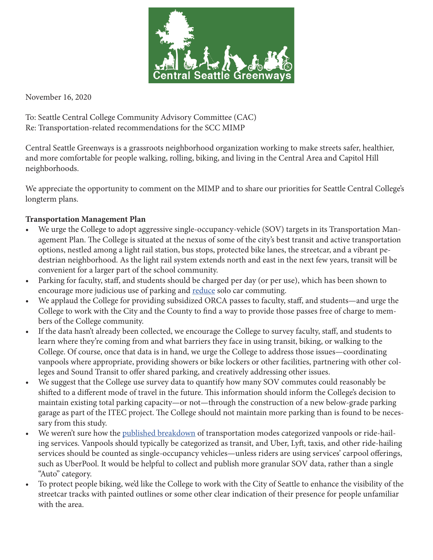

November 16, 2020

To: Seattle Central College Community Advisory Committee (CAC) Re: Transportation-related recommendations for the SCC MIMP

Central Seattle Greenways is a grassroots neighborhood organization working to make streets safer, healthier, and more comfortable for people walking, rolling, biking, and living in the Central Area and Capitol Hill neighborhoods.

We appreciate the opportunity to comment on the MIMP and to share our priorities for Seattle Central College's longterm plans.

## **Transportation Management Plan**

- We urge the College to adopt aggressive single-occupancy-vehicle (SOV) targets in its Transportation Management Plan. The College is situated at the nexus of some of the city's best transit and active transportation options, nestled among a light rail station, bus stops, protected bike lanes, the streetcar, and a vibrant pedestrian neighborhood. As the light rail system extends north and east in the next few years, transit will be convenient for a larger part of the school community.
- Parking for faculty, staff, and students should be charged per day (or per use), which has been shown to encourage more judicious use of parking and [reduce](https://www.seattletimes.com/seattle-news/transportation/the-not-so-secret-trick-to-cutting-solo-car-commutes-charge-for-parking-by-the-day/) solo car commuting.
- We applaud the College for providing subsidized ORCA passes to faculty, staff, and students—and urge the College to work with the City and the County to find a way to provide those passes free of charge to members of the College community.
- If the data hasn't already been collected, we encourage the College to survey faculty, staff, and students to learn where they're coming from and what barriers they face in using transit, biking, or walking to the College. Of course, once that data is in hand, we urge the College to address those issues—coordinating vanpools where appropriate, providing showers or bike lockers or other facilities, partnering with other colleges and Sound Transit to offer shared parking, and creatively addressing other issues.
- We suggest that the College use survey data to quantify how many SOV commutes could reasonably be shifted to a different mode of travel in the future. This information should inform the College's decision to maintain existing total parking capacity—or not—through the construction of a new below-grade parking garage as part of the ITEC project. The College should not maintain more parking than is found to be necessary from this study.
- We weren't sure how the [published breakdown](https://www.seattle.gov/Documents/Departments/Neighborhoods/MajorInstitutions/SeattleCentralCommunityCollege/18040_Parking_Transportation.pdf) of transportation modes categorized vanpools or ride-hailing services. Vanpools should typically be categorized as transit, and Uber, Lyft, taxis, and other ride-hailing services should be counted as single-occupancy vehicles—unless riders are using services' carpool offerings, such as UberPool. It would be helpful to collect and publish more granular SOV data, rather than a single "Auto" category.
- To protect people biking, we'd like the College to work with the City of Seattle to enhance the visibility of the streetcar tracks with painted outlines or some other clear indication of their presence for people unfamiliar with the area.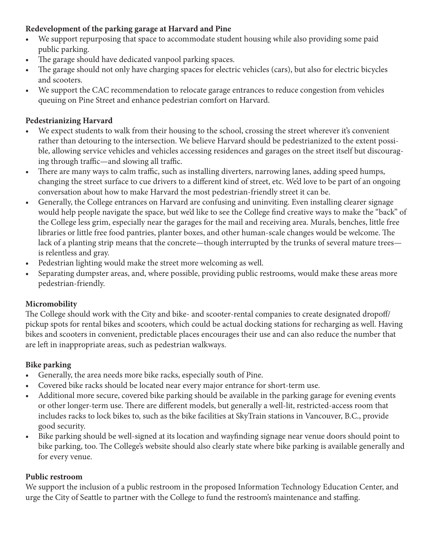# **Redevelopment of the parking garage at Harvard and Pine**

- We support repurposing that space to accommodate student housing while also providing some paid public parking.
- The garage should have dedicated vanpool parking spaces.
- The garage should not only have charging spaces for electric vehicles (cars), but also for electric bicycles and scooters.
- We support the CAC recommendation to relocate garage entrances to reduce congestion from vehicles queuing on Pine Street and enhance pedestrian comfort on Harvard.

# **Pedestrianizing Harvard**

- We expect students to walk from their housing to the school, crossing the street wherever it's convenient rather than detouring to the intersection. We believe Harvard should be pedestrianized to the extent possible, allowing service vehicles and vehicles accessing residences and garages on the street itself but discouraging through traffic—and slowing all traffic.
- There are many ways to calm traffic, such as installing diverters, narrowing lanes, adding speed humps, changing the street surface to cue drivers to a different kind of street, etc. We'd love to be part of an ongoing conversation about how to make Harvard the most pedestrian-friendly street it can be.
- Generally, the College entrances on Harvard are confusing and uninviting. Even installing clearer signage would help people navigate the space, but we'd like to see the College find creative ways to make the "back" of the College less grim, especially near the garages for the mail and receiving area. Murals, benches, little free libraries or little free food pantries, planter boxes, and other human-scale changes would be welcome. The lack of a planting strip means that the concrete—though interrupted by the trunks of several mature trees is relentless and gray.
- Pedestrian lighting would make the street more welcoming as well.
- Separating dumpster areas, and, where possible, providing public restrooms, would make these areas more pedestrian-friendly.

# **Micromobility**

The College should work with the City and bike- and scooter-rental companies to create designated dropoff/ pickup spots for rental bikes and scooters, which could be actual docking stations for recharging as well. Having bikes and scooters in convenient, predictable places encourages their use and can also reduce the number that are left in inappropriate areas, such as pedestrian walkways.

# **Bike parking**

- Generally, the area needs more bike racks, especially south of Pine.
- Covered bike racks should be located near every major entrance for short-term use.
- Additional more secure, covered bike parking should be available in the parking garage for evening events or other longer-term use. There are different models, but generally a well-lit, restricted-access room that includes racks to lock bikes to, such as the bike facilities at SkyTrain stations in Vancouver, B.C., provide good security.
- Bike parking should be well-signed at its location and wayfinding signage near venue doors should point to bike parking, too. The College's website should also clearly state where bike parking is available generally and for every venue.

# **Public restroom**

We support the inclusion of a public restroom in the proposed Information Technology Education Center, and urge the City of Seattle to partner with the College to fund the restroom's maintenance and staffing.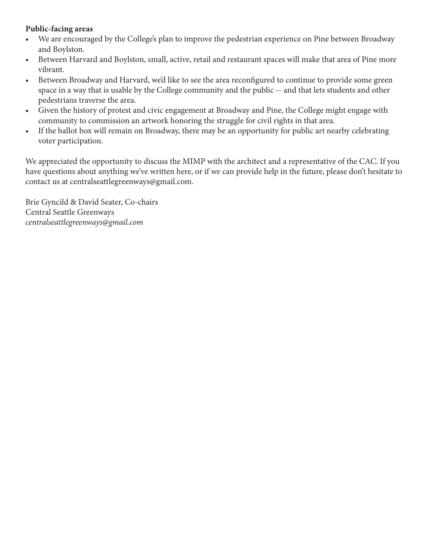## **Public-facing areas**

- We are encouraged by the College's plan to improve the pedestrian experience on Pine between Broadway and Boylston.
- Between Harvard and Boylston, small, active, retail and restaurant spaces will make that area of Pine more vibrant.
- Between Broadway and Harvard, we'd like to see the area reconfigured to continue to provide some green space in a way that is usable by the College community and the public -- and that lets students and other pedestrians traverse the area.
- Given the history of protest and civic engagement at Broadway and Pine, the College might engage with community to commission an artwork honoring the struggle for civil rights in that area.
- If the ballot box will remain on Broadway, there may be an opportunity for public art nearby celebrating voter participation.

We appreciated the opportunity to discuss the MIMP with the architect and a representative of the CAC. If you have questions about anything we've written here, or if we can provide help in the future, please don't hesitate to contact us at centralseattlegreenways@gmail.com.

Brie Gyncild & David Seater, Co-chairs Central Seattle Greenways *centralseattlegreenways@gmail.com*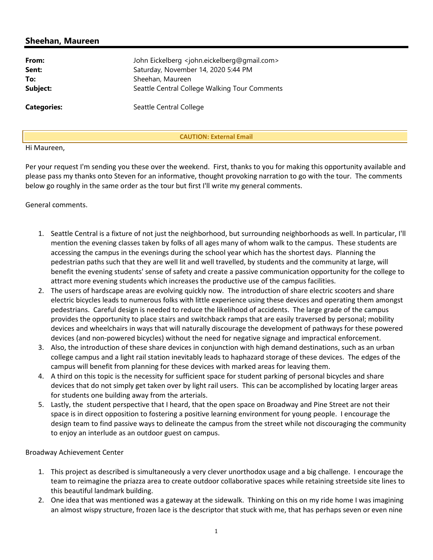## Sheehan, Maureen

| From:              | John Eickelberg <john.eickelberg@gmail.com></john.eickelberg@gmail.com> |
|--------------------|-------------------------------------------------------------------------|
| Sent:              | Saturday, November 14, 2020 5:44 PM                                     |
| To:                | Sheehan, Maureen                                                        |
| Subject:           | Seattle Central College Walking Tour Comments                           |
| <b>Categories:</b> | Seattle Central College                                                 |

CAUTION: External Email

#### Hi Maureen,

Per your request I'm sending you these over the weekend. First, thanks to you for making this opportunity available and please pass my thanks onto Steven for an informative, thought provoking narration to go with the tour. The comments below go roughly in the same order as the tour but first I'll write my general comments.

General comments.

- 1. Seattle Central is a fixture of not just the neighborhood, but surrounding neighborhoods as well. In particular, I'll mention the evening classes taken by folks of all ages many of whom walk to the campus. These students are accessing the campus in the evenings during the school year which has the shortest days. Planning the pedestrian paths such that they are well lit and well travelled, by students and the community at large, will benefit the evening students' sense of safety and create a passive communication opportunity for the college to attract more evening students which increases the productive use of the campus facilities.
- 2. The users of hardscape areas are evolving quickly now. The introduction of share electric scooters and share electric bicycles leads to numerous folks with little experience using these devices and operating them amongst pedestrians. Careful design is needed to reduce the likelihood of accidents. The large grade of the campus provides the opportunity to place stairs and switchback ramps that are easily traversed by personal; mobility devices and wheelchairs in ways that will naturally discourage the development of pathways for these powered devices (and non-powered bicycles) without the need for negative signage and impractical enforcement.
- 3. Also, the introduction of these share devices in conjunction with high demand destinations, such as an urban college campus and a light rail station inevitably leads to haphazard storage of these devices. The edges of the campus will benefit from planning for these devices with marked areas for leaving them.
- 4. A third on this topic is the necessity for sufficient space for student parking of personal bicycles and share devices that do not simply get taken over by light rail users. This can be accomplished by locating larger areas for students one building away from the arterials.
- 5. Lastly, the student perspective that I heard, that the open space on Broadway and Pine Street are not their space is in direct opposition to fostering a positive learning environment for young people. I encourage the design team to find passive ways to delineate the campus from the street while not discouraging the community to enjoy an interlude as an outdoor guest on campus.

Broadway Achievement Center

- 1. This project as described is simultaneously a very clever unorthodox usage and a big challenge. I encourage the team to reimagine the priazza area to create outdoor collaborative spaces while retaining streetside site lines to this beautiful landmark building.
- 2. One idea that was mentioned was a gateway at the sidewalk. Thinking on this on my ride home I was imagining an almost wispy structure, frozen lace is the descriptor that stuck with me, that has perhaps seven or even nine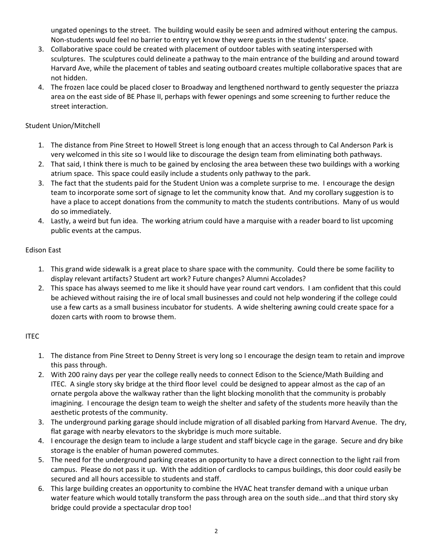ungated openings to the street. The building would easily be seen and admired without entering the campus. Non-students would feel no barrier to entry yet know they were guests in the students' space.

- 3. Collaborative space could be created with placement of outdoor tables with seating interspersed with sculptures. The sculptures could delineate a pathway to the main entrance of the building and around toward Harvard Ave, while the placement of tables and seating outboard creates multiple collaborative spaces that are not hidden.
- 4. The frozen lace could be placed closer to Broadway and lengthened northward to gently sequester the priazza area on the east side of BE Phase II, perhaps with fewer openings and some screening to further reduce the street interaction.

### Student Union/Mitchell

- 1. The distance from Pine Street to Howell Street is long enough that an access through to Cal Anderson Park is very welcomed in this site so I would like to discourage the design team from eliminating both pathways.
- 2. That said, I think there is much to be gained by enclosing the area between these two buildings with a working atrium space. This space could easily include a students only pathway to the park.
- 3. The fact that the students paid for the Student Union was a complete surprise to me. I encourage the design team to incorporate some sort of signage to let the community know that. And my corollary suggestion is to have a place to accept donations from the community to match the students contributions. Many of us would do so immediately.
- 4. Lastly, a weird but fun idea. The working atrium could have a marquise with a reader board to list upcoming public events at the campus.

### Edison East

- 1. This grand wide sidewalk is a great place to share space with the community. Could there be some facility to display relevant artifacts? Student art work? Future changes? Alumni Accolades?
- 2. This space has always seemed to me like it should have year round cart vendors. I am confident that this could be achieved without raising the ire of local small businesses and could not help wondering if the college could use a few carts as a small business incubator for students. A wide sheltering awning could create space for a dozen carts with room to browse them.

### ITEC

- 1. The distance from Pine Street to Denny Street is very long so I encourage the design team to retain and improve this pass through.
- 2. With 200 rainy days per year the college really needs to connect Edison to the Science/Math Building and ITEC. A single story sky bridge at the third floor level could be designed to appear almost as the cap of an ornate pergola above the walkway rather than the light blocking monolith that the community is probably imagining. I encourage the design team to weigh the shelter and safety of the students more heavily than the aesthetic protests of the community.
- 3. The underground parking garage should include migration of all disabled parking from Harvard Avenue. The dry, flat garage with nearby elevators to the skybridge is much more suitable.
- 4. I encourage the design team to include a large student and staff bicycle cage in the garage. Secure and dry bike storage is the enabler of human powered commutes.
- 5. The need for the underground parking creates an opportunity to have a direct connection to the light rail from campus. Please do not pass it up. With the addition of cardlocks to campus buildings, this door could easily be secured and all hours accessible to students and staff.
- 6. This large building creates an opportunity to combine the HVAC heat transfer demand with a unique urban water feature which would totally transform the pass through area on the south side...and that third story sky bridge could provide a spectacular drop too!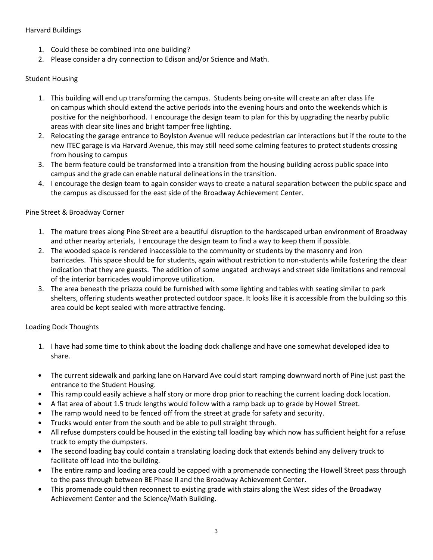### Harvard Buildings

- 1. Could these be combined into one building?
- 2. Please consider a dry connection to Edison and/or Science and Math.

#### Student Housing

- 1. This building will end up transforming the campus. Students being on-site will create an after class life on campus which should extend the active periods into the evening hours and onto the weekends which is positive for the neighborhood. I encourage the design team to plan for this by upgrading the nearby public areas with clear site lines and bright tamper free lighting.
- 2. Relocating the garage entrance to Boylston Avenue will reduce pedestrian car interactions but if the route to the new ITEC garage is via Harvard Avenue, this may still need some calming features to protect students crossing from housing to campus
- 3. The berm feature could be transformed into a transition from the housing building across public space into campus and the grade can enable natural delineations in the transition.
- 4. I encourage the design team to again consider ways to create a natural separation between the public space and the campus as discussed for the east side of the Broadway Achievement Center.

### Pine Street & Broadway Corner

- 1. The mature trees along Pine Street are a beautiful disruption to the hardscaped urban environment of Broadway and other nearby arterials, I encourage the design team to find a way to keep them if possible.
- 2. The wooded space is rendered inaccessible to the community or students by the masonry and iron barricades. This space should be for students, again without restriction to non-students while fostering the clear indication that they are guests. The addition of some ungated archways and street side limitations and removal of the interior barricades would improve utilization.
- 3. The area beneath the priazza could be furnished with some lighting and tables with seating similar to park shelters, offering students weather protected outdoor space. It looks like it is accessible from the building so this area could be kept sealed with more attractive fencing.

#### Loading Dock Thoughts

- 1. I have had some time to think about the loading dock challenge and have one somewhat developed idea to share.
- The current sidewalk and parking lane on Harvard Ave could start ramping downward north of Pine just past the entrance to the Student Housing.
- This ramp could easily achieve a half story or more drop prior to reaching the current loading dock location.
- A flat area of about 1.5 truck lengths would follow with a ramp back up to grade by Howell Street.
- The ramp would need to be fenced off from the street at grade for safety and security.
- Trucks would enter from the south and be able to pull straight through.
- All refuse dumpsters could be housed in the existing tall loading bay which now has sufficient height for a refuse truck to empty the dumpsters.
- The second loading bay could contain a translating loading dock that extends behind any delivery truck to facilitate off load into the building.
- The entire ramp and loading area could be capped with a promenade connecting the Howell Street pass through to the pass through between BE Phase II and the Broadway Achievement Center.
- This promenade could then reconnect to existing grade with stairs along the West sides of the Broadway Achievement Center and the Science/Math Building.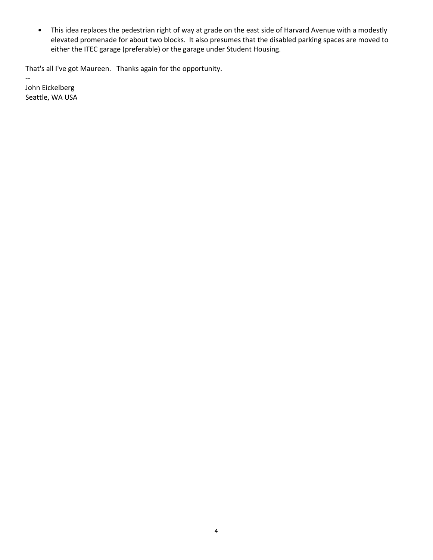• This idea replaces the pedestrian right of way at grade on the east side of Harvard Avenue with a modestly elevated promenade for about two blocks. It also presumes that the disabled parking spaces are moved to either the ITEC garage (preferable) or the garage under Student Housing.

That's all I've got Maureen. Thanks again for the opportunity.

John Eickelberg Seattle, WA USA

--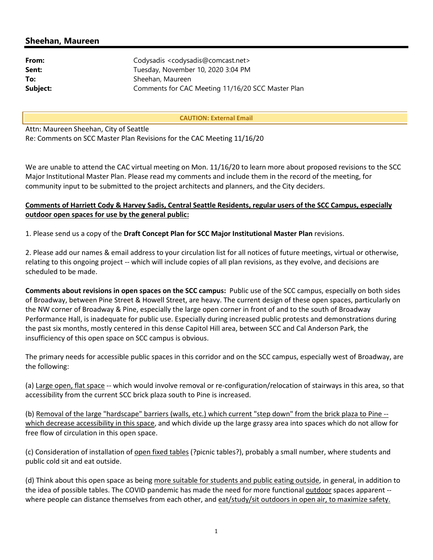## Sheehan, Maureen

| From:    | Codysadis <codysadis@comcast.net></codysadis@comcast.net> |
|----------|-----------------------------------------------------------|
| Sent:    | Tuesday, November 10, 2020 3:04 PM                        |
| To:      | Sheehan, Maureen                                          |
| Subject: | Comments for CAC Meeting 11/16/20 SCC Master Plan         |

CAUTION: External Email

Attn: Maureen Sheehan, City of Seattle Re: Comments on SCC Master Plan Revisions for the CAC Meeting 11/16/20

We are unable to attend the CAC virtual meeting on Mon. 11/16/20 to learn more about proposed revisions to the SCC Major Institutional Master Plan. Please read my comments and include them in the record of the meeting, for community input to be submitted to the project architects and planners, and the City deciders.

#### Comments of Harriett Cody & Harvey Sadis, Central Seattle Residents, regular users of the SCC Campus, especially outdoor open spaces for use by the general public:

1. Please send us a copy of the Draft Concept Plan for SCC Major Institutional Master Plan revisions.

2. Please add our names & email address to your circulation list for all notices of future meetings, virtual or otherwise, relating to this ongoing project -- which will include copies of all plan revisions, as they evolve, and decisions are scheduled to be made.

Comments about revisions in open spaces on the SCC campus: Public use of the SCC campus, especially on both sides of Broadway, between Pine Street & Howell Street, are heavy. The current design of these open spaces, particularly on the NW corner of Broadway & Pine, especially the large open corner in front of and to the south of Broadway Performance Hall, is inadequate for public use. Especially during increased public protests and demonstrations during the past six months, mostly centered in this dense Capitol Hill area, between SCC and Cal Anderson Park, the insufficiency of this open space on SCC campus is obvious.

The primary needs for accessible public spaces in this corridor and on the SCC campus, especially west of Broadway, are the following:

(a) Large open, flat space -- which would involve removal or re-configuration/relocation of stairways in this area, so that accessibility from the current SCC brick plaza south to Pine is increased.

(b) Removal of the large "hardscape" barriers (walls, etc.) which current "step down" from the brick plaza to Pine - which decrease accessibility in this space, and which divide up the large grassy area into spaces which do not allow for free flow of circulation in this open space.

(c) Consideration of installation of open fixed tables (?picnic tables?), probably a small number, where students and public cold sit and eat outside.

(d) Think about this open space as being more suitable for students and public eating outside, in general, in addition to the idea of possible tables. The COVID pandemic has made the need for more functional **outdoor** spaces apparent -where people can distance themselves from each other, and eat/study/sit outdoors in open air, to maximize safety.